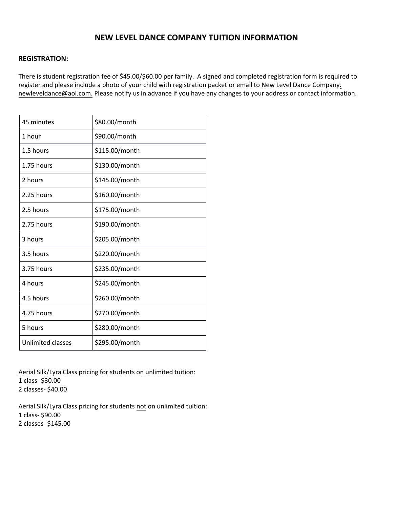# **NEW LEVEL DANCE COMPANY TUITION INFORMATION**

## **REGISTRATION:**

There is student registration fee of \$45.00/\$60.00 per family. A signed and completed registration form is required to [register and please include a photo of your child with registration packet or email to N](mailto:newleveldancesouth@gmail.com)ew Level D[ance Company.](mailto:newleveldance@aol.com)  newleveldance@aol.com. Please notify us in advance if you have any changes to your address or contact information.

| 45 minutes               | \$80.00/month  |
|--------------------------|----------------|
| 1 hour                   | \$90.00/month  |
| 1.5 hours                | \$115.00/month |
| 1.75 hours               | \$130.00/month |
| 2 hours                  | \$145.00/month |
| 2.25 hours               | \$160.00/month |
| 2.5 hours                | \$175.00/month |
| 2.75 hours               | \$190.00/month |
| 3 hours                  | \$205.00/month |
| 3.5 hours                | \$220.00/month |
| 3.75 hours               | \$235.00/month |
| 4 hours                  | \$245.00/month |
| 4.5 hours                | \$260.00/month |
| 4.75 hours               | \$270.00/month |
| 5 hours                  | \$280.00/month |
| <b>Unlimited classes</b> | \$295.00/month |

Aerial Silk/Lyra Class pricing for students on unlimited tuition: 1 class- \$30.00 2 classes- \$40.00

Aerial Silk/Lyra Class pricing for students not on unlimited tuition: 1 class- \$90.00 2 classes- \$145.00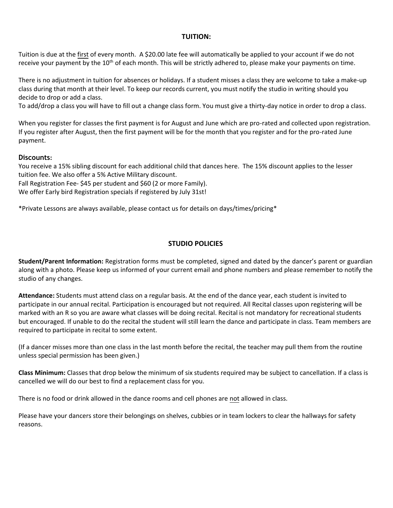# **TUITION:**

Tuition is due at the first of every month. A \$20.00 late fee will automatically be applied to your account if we do not receive your payment by the 10<sup>th</sup> of each month. This will be strictly adhered to, please make your payments on time.

There is no adjustment in tuition for absences or holidays. If a student misses a class they are welcome to take a make-up class during that month at their level. To keep our records current, you must notify the studio in writing should you decide to drop or add a class.

To add/drop a class you will have to fill out a change class form. You must give a thirty-day notice in order to drop a class.

When you register for classes the first payment is for August and June which are pro-rated and collected upon registration. If you register after August, then the first payment will be for the month that you register and for the pro-rated June payment.

# **Discounts:**

You receive a 15% sibling discount for each additional child that dances here. The 15% discount applies to the lesser tuition fee. We also offer a 5% Active Military discount.

Fall Registration Fee- \$45 per student and \$60 (2 or more Family).

We offer Early bird Registration specials if registered by July 31st!

\*Private Lessons are always available, please contact us for details on days/times/pricing\*

# **STUDIO POLICIES**

**Student/Parent Information:** Registration forms must be completed, signed and dated by the dancer's parent or guardian along with a photo. Please keep us informed of your current email and phone numbers and please remember to notify the studio of any changes.

**Attendance:** Students must attend class on a regular basis. At the end of the dance year, each student is invited to participate in our annual recital. Participation is encouraged but not required. All Recital classes upon registering will be marked with an R so you are aware what classes will be doing recital. Recital is not mandatory for recreational students but encouraged. If unable to do the recital the student will still learn the dance and participate in class. Team members are required to participate in recital to some extent.

(If a dancer misses more than one class in the last month before the recital, the teacher may pull them from the routine unless special permission has been given.)

**Class Minimum:** Classes that drop below the minimum of six students required may be subject to cancellation. If a class is cancelled we will do our best to find a replacement class for you.

There is no food or drink allowed in the dance rooms and cell phones are not allowed in class.

Please have your dancers store their belongings on shelves, cubbies or in team lockers to clear the hallways for safety reasons.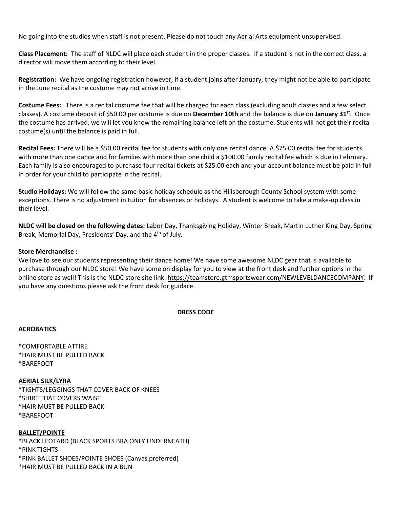No going into the studios when staff is not present. Please do not touch any Aerial Arts equipment unsupervised.

**Class Placement:** The staff of NLDC will place each student in the proper classes. If a student is not in the correct class, a director will move them according to their level.

**Registration:** We have ongoing registration however, if a student joins after January, they might not be able to participate in the June recital as the costume may not arrive in time.

**Costume Fees:** There is a recital costume fee that will be charged for each class (excluding adult classes and a few select classes). A costume deposit of \$50.00 per costume is due on **December 10th** and the balance is due on **January 31st**. Once the costume has arrived, we will let you know the remaining balance left on the costume. Students will not get their recital costume(s) until the balance is paid in full.

**Recital Fees:** There will be a \$50.00 recital fee for students with only one recital dance. A \$75.00 recital fee for students with more than one dance and for families with more than one child a \$100.00 family recital fee which is due in February. Each family is also encouraged to purchase four recital tickets at \$25.00 each and your account balance must be paid in full in order for your child to participate in the recital.

**Studio Holidays:** We will follow the same basic holiday schedule as the Hillsborough County School system with some exceptions. There is no adjustment in tuition for absences or holidays. A student is welcome to take a make-up class in their level.

**NLDC will be closed on the following dates:** Labor Day, Thanksgiving Holiday, Winter Break, Martin Luther King Day, Spring Break, Memorial Day, Presidents' Day, and the 4<sup>th</sup> of July.

## **Store Merchandise :**

We love to see our students representing their dance home! We have some awesome NLDC gear that is available to purchase through our NLDC store! We have some on display for you to view at the front desk and further options in the online store as well! This is the NLDC store site link: [https://teamstore.gtmsportswear.com/NEWLEVELDANCECOMPANY.](https://teamstore.gtmsportswear.com/NEWLEVELDANCECOMPANY) If you have any questions please ask the front desk for guidace.

#### **DRESS CODE**

#### **ACROBATICS**

\*COMFORTABLE ATTIRE \*HAIR MUST BE PULLED BACK \*BAREFOOT

#### **AERIAL SILK/LYRA**

\*TIGHTS/LEGGINGS THAT COVER BACK OF KNEES \*SHIRT THAT COVERS WAIST \*HAIR MUST BE PULLED BACK \*BAREFOOT

#### **BALLET/POINTE**

\*BLACK LEOTARD (BLACK SPORTS BRA ONLY UNDERNEATH) \*PINK TIGHTS \*PINK BALLET SHOES/POINTE SHOES (Canvas preferred) \*HAIR MUST BE PULLED BACK IN A BUN